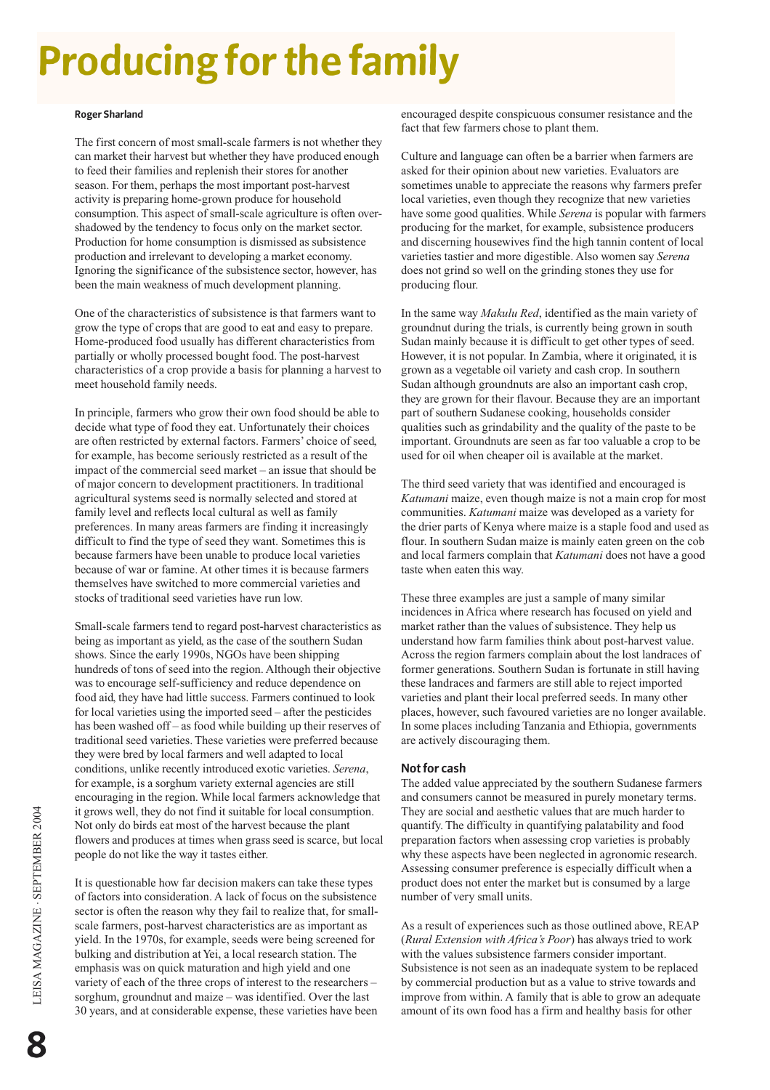# **Producing for the family**

#### **Roger Sharland**

The first concern of most small-scale farmers is not whether they can market their harvest but whether they have produced enough to feed their families and replenish their stores for another season. For them, perhaps the most important post-harvest activity is preparing home-grown produce for household consumption. This aspect of small-scale agriculture is often overshadowed by the tendency to focus only on the market sector. Production for home consumption is dismissed as subsistence production and irrelevant to developing a market economy. Ignoring the significance of the subsistence sector, however, has been the main weakness of much development planning.

One of the characteristics of subsistence is that farmers want to grow the type of crops that are good to eat and easy to prepare. Home-produced food usually has different characteristics from partially or wholly processed bought food. The post-harvest characteristics of a crop provide a basis for planning a harvest to meet household family needs.

In principle, farmers who grow their own food should be able to decide what type of food they eat. Unfortunately their choices are often restricted by external factors. Farmers' choice of seed, for example, has become seriously restricted as a result of the impact of the commercial seed market – an issue that should be of major concern to development practitioners. In traditional agricultural systems seed is normally selected and stored at family level and reflects local cultural as well as family preferences. In many areas farmers are finding it increasingly difficult to find the type of seed they want. Sometimes this is because farmers have been unable to produce local varieties because of war or famine. At other times it is because farmers themselves have switched to more commercial varieties and stocks of traditional seed varieties have run low.

Small-scale farmers tend to regard post-harvest characteristics as being as important as yield, as the case of the southern Sudan shows. Since the early 1990s, NGOs have been shipping hundreds of tons of seed into the region. Although their objective was to encourage self-sufficiency and reduce dependence on food aid, they have had little success. Farmers continued to look for local varieties using the imported seed – after the pesticides has been washed off – as food while building up their reserves of traditional seed varieties. These varieties were preferred because they were bred by local farmers and well adapted to local conditions, unlike recently introduced exotic varieties. *Serena*, for example, is a sorghum variety external agencies are still encouraging in the region. While local farmers acknowledge that it grows well, they do not find it suitable for local consumption. Not only do birds eat most of the harvest because the plant flowers and produces at times when grass seed is scarce, but local people do not like the way it tastes either.

It is questionable how far decision makers can take these types of factors into consideration. A lack of focus on the subsistence sector is often the reason why they fail to realize that, for smallscale farmers, post-harvest characteristics are as important as yield. In the 1970s, for example, seeds were being screened for bulking and distribution at Yei, a local research station. The emphasis was on quick maturation and high yield and one variety of each of the three crops of interest to the researchers – sorghum, groundnut and maize – was identified. Over the last 30 years, and at considerable expense, these varieties have been encouraged despite conspicuous consumer resistance and the fact that few farmers chose to plant them.

Culture and language can often be a barrier when farmers are asked for their opinion about new varieties. Evaluators are sometimes unable to appreciate the reasons why farmers prefer local varieties, even though they recognize that new varieties have some good qualities. While *Serena* is popular with farmers producing for the market, for example, subsistence producers and discerning housewives find the high tannin content of local varieties tastier and more digestible. Also women say *Serena* does not grind so well on the grinding stones they use for producing flour.

In the same way *Makulu Red*, identified as the main variety of groundnut during the trials, is currently being grown in south Sudan mainly because it is difficult to get other types of seed. However, it is not popular. In Zambia, where it originated, it is grown as a vegetable oil variety and cash crop. In southern Sudan although groundnuts are also an important cash crop, they are grown for their flavour. Because they are an important part of southern Sudanese cooking, households consider qualities such as grindability and the quality of the paste to be important. Groundnuts are seen as far too valuable a crop to be used for oil when cheaper oil is available at the market.

The third seed variety that was identified and encouraged is *Katumani* maize, even though maize is not a main crop for most communities. *Katumani* maize was developed as a variety for the drier parts of Kenya where maize is a staple food and used as flour. In southern Sudan maize is mainly eaten green on the cob and local farmers complain that *Katumani* does not have a good taste when eaten this way.

These three examples are just a sample of many similar incidences in Africa where research has focused on yield and market rather than the values of subsistence. They help us understand how farm families think about post-harvest value. Across the region farmers complain about the lost landraces of former generations. Southern Sudan is fortunate in still having these landraces and farmers are still able to reject imported varieties and plant their local preferred seeds. In many other places, however, such favoured varieties are no longer available. In some places including Tanzania and Ethiopia, governments are actively discouraging them.

### **Not for cash**

The added value appreciated by the southern Sudanese farmers and consumers cannot be measured in purely monetary terms. They are social and aesthetic values that are much harder to quantify. The difficulty in quantifying palatability and food preparation factors when assessing crop varieties is probably why these aspects have been neglected in agronomic research. Assessing consumer preference is especially difficult when a product does not enter the market but is consumed by a large number of very small units.

As a result of experiences such as those outlined above, REAP (*Rural Extension with Africa's Poor*) has always tried to work with the values subsistence farmers consider important. Subsistence is not seen as an inadequate system to be replaced by commercial production but as a value to strive towards and improve from within. A family that is able to grow an adequate amount of its own food has a firm and healthy basis for other